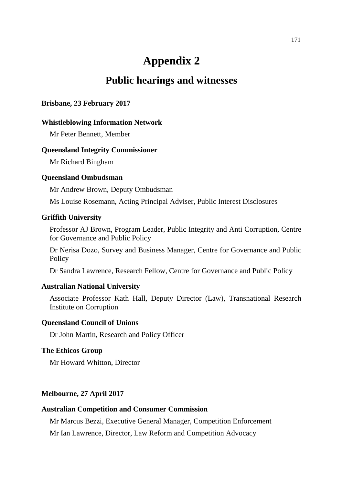# **Appendix 2**

# **Public hearings and witnesses**

# **Brisbane, 23 February 2017**

# **Whistleblowing Information Network**

Mr Peter Bennett, Member

# **Queensland Integrity Commissioner**

Mr Richard Bingham

# **Queensland Ombudsman**

Mr Andrew Brown, Deputy Ombudsman

Ms Louise Rosemann, Acting Principal Adviser, Public Interest Disclosures

# **Griffith University**

Professor AJ Brown, Program Leader, Public Integrity and Anti Corruption, Centre for Governance and Public Policy

Dr Nerisa Dozo, Survey and Business Manager, Centre for Governance and Public **Policy** 

Dr Sandra Lawrence, Research Fellow, Centre for Governance and Public Policy

#### **Australian National University**

Associate Professor Kath Hall, Deputy Director (Law), Transnational Research Institute on Corruption

# **Queensland Council of Unions**

Dr John Martin, Research and Policy Officer

# **The Ethicos Group**

Mr Howard Whitton, Director

# **Melbourne, 27 April 2017**

# **Australian Competition and Consumer Commission**

Mr Marcus Bezzi, Executive General Manager, Competition Enforcement

Mr Ian Lawrence, Director, Law Reform and Competition Advocacy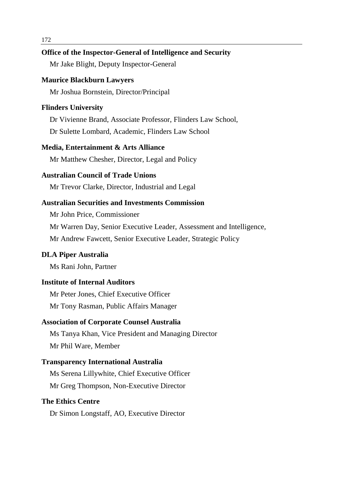# **Office of the Inspector-General of Intelligence and Security**

Mr Jake Blight, Deputy Inspector-General

# **Maurice Blackburn Lawyers**

Mr Joshua Bornstein, Director/Principal

# **Flinders University**

Dr Vivienne Brand, Associate Professor, Flinders Law School,

Dr Sulette Lombard, Academic, Flinders Law School

## **Media, Entertainment & Arts Alliance**

Mr Matthew Chesher, Director, Legal and Policy

# **Australian Council of Trade Unions**

Mr Trevor Clarke, Director, Industrial and Legal

# **Australian Securities and Investments Commission**

Mr John Price, Commissioner

Mr Warren Day, Senior Executive Leader, Assessment and Intelligence,

Mr Andrew Fawcett, Senior Executive Leader, Strategic Policy

#### **DLA Piper Australia**

Ms Rani John, Partner

# **Institute of Internal Auditors**

Mr Peter Jones, Chief Executive Officer Mr Tony Rasman, Public Affairs Manager

#### **Association of Corporate Counsel Australia**

Ms Tanya Khan, Vice President and Managing Director Mr Phil Ware, Member

# **Transparency International Australia**

Ms Serena Lillywhite, Chief Executive Officer Mr Greg Thompson, Non-Executive Director

# **The Ethics Centre**

Dr Simon Longstaff, AO, Executive Director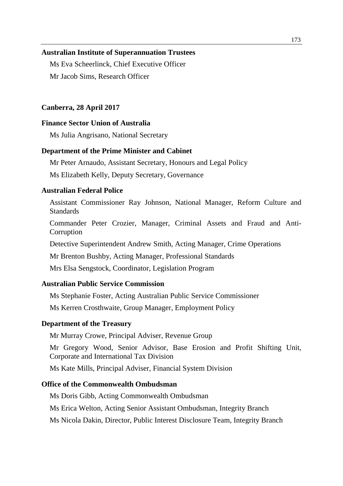#### **Australian Institute of Superannuation Trustees**

Ms Eva Scheerlinck, Chief Executive Officer Mr Jacob Sims, Research Officer

## **Canberra, 28 April 2017**

# **Finance Sector Union of Australia**

Ms Julia Angrisano, National Secretary

#### **Department of the Prime Minister and Cabinet**

Mr Peter Arnaudo, Assistant Secretary, Honours and Legal Policy

Ms Elizabeth Kelly, Deputy Secretary, Governance

# **Australian Federal Police**

Assistant Commissioner Ray Johnson, National Manager, Reform Culture and Standards

Commander Peter Crozier, Manager, Criminal Assets and Fraud and Anti-**Corruption** 

Detective Superintendent Andrew Smith, Acting Manager, Crime Operations

Mr Brenton Bushby, Acting Manager, Professional Standards

Mrs Elsa Sengstock, Coordinator, Legislation Program

# **Australian Public Service Commission**

Ms Stephanie Foster, Acting Australian Public Service Commissioner

Ms Kerren Crosthwaite, Group Manager, Employment Policy

#### **Department of the Treasury**

Mr Murray Crowe, Principal Adviser, Revenue Group

Mr Gregory Wood, Senior Advisor, Base Erosion and Profit Shifting Unit, Corporate and International Tax Division

Ms Kate Mills, Principal Adviser, Financial System Division

# **Office of the Commonwealth Ombudsman**

Ms Doris Gibb, Acting Commonwealth Ombudsman

Ms Erica Welton, Acting Senior Assistant Ombudsman, Integrity Branch

Ms Nicola Dakin, Director, Public Interest Disclosure Team, Integrity Branch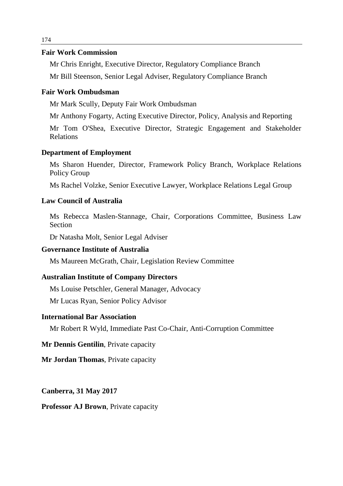# **Fair Work Commission**

Mr Chris Enright, Executive Director, Regulatory Compliance Branch

Mr Bill Steenson, Senior Legal Adviser, Regulatory Compliance Branch

# **Fair Work Ombudsman**

Mr Mark Scully, Deputy Fair Work Ombudsman

Mr Anthony Fogarty, Acting Executive Director, Policy, Analysis and Reporting

Mr Tom O'Shea, Executive Director, Strategic Engagement and Stakeholder Relations

# **Department of Employment**

Ms Sharon Huender, Director, Framework Policy Branch, Workplace Relations Policy Group

Ms Rachel Volzke, Senior Executive Lawyer, Workplace Relations Legal Group

# **Law Council of Australia**

Ms Rebecca Maslen-Stannage, Chair, Corporations Committee, Business Law Section

Dr Natasha Molt, Senior Legal Adviser

# **Governance Institute of Australia**

Ms Maureen McGrath, Chair, Legislation Review Committee

# **Australian Institute of Company Directors**

Ms Louise Petschler, General Manager, Advocacy

Mr Lucas Ryan, Senior Policy Advisor

# **International Bar Association**

Mr Robert R Wyld, Immediate Past Co-Chair, Anti-Corruption Committee

# **Mr Dennis Gentilin**, Private capacity

**Mr Jordan Thomas**, Private capacity

# **Canberra, 31 May 2017**

#### **Professor AJ Brown**, Private capacity

174